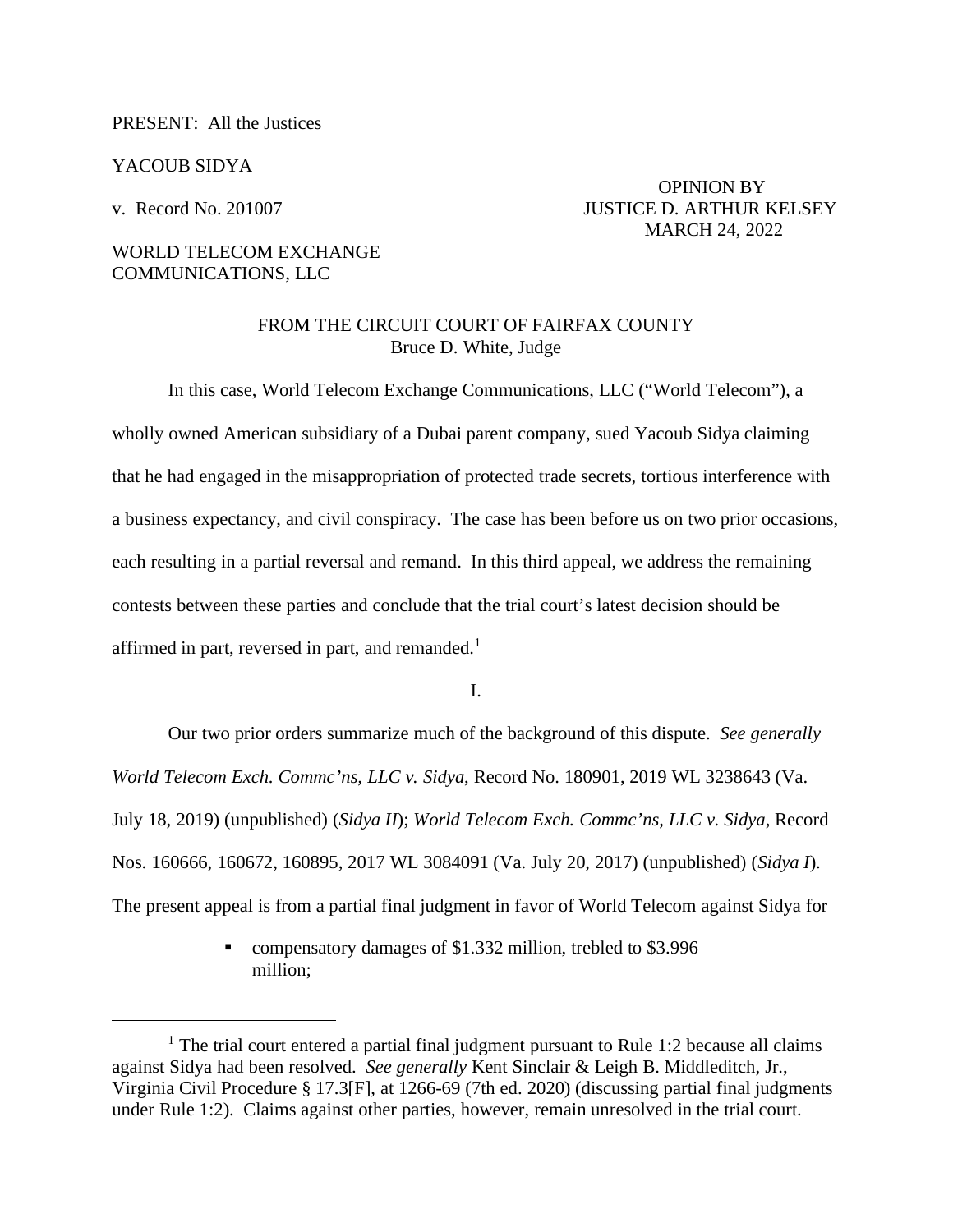### PRESENT: All the Justices

### YACOUB SIDYA

 OPINION BY v. Record No. 201007 JUSTICE D. ARTHUR KELSEY MARCH 24, 2022

# WORLD TELECOM EXCHANGE COMMUNICATIONS, LLC

## FROM THE CIRCUIT COURT OF FAIRFAX COUNTY Bruce D. White, Judge

In this case, World Telecom Exchange Communications, LLC ("World Telecom"), a wholly owned American subsidiary of a Dubai parent company, sued Yacoub Sidya claiming that he had engaged in the misappropriation of protected trade secrets, tortious interference with a business expectancy, and civil conspiracy. The case has been before us on two prior occasions, each resulting in a partial reversal and remand. In this third appeal, we address the remaining contests between these parties and conclude that the trial court's latest decision should be affirmed in part, reversed in part, and remanded.<sup>[1](#page-0-0)</sup>

I.

Our two prior orders summarize much of the background of this dispute. *See generally World Telecom Exch. Commc'ns, LLC v. Sidya*, Record No. 180901, 2019 WL 3238643 (Va. July 18, 2019) (unpublished) (*Sidya II*); *World Telecom Exch. Commc'ns, LLC v. Sidya*, Record Nos. 160666, 160672, 160895, 2017 WL 3084091 (Va. July 20, 2017) (unpublished) (*Sidya I*). The present appeal is from a partial final judgment in favor of World Telecom against Sidya for

> compensatory damages of \$1.332 million, trebled to \$3.996 million;

<span id="page-0-0"></span><sup>&</sup>lt;sup>1</sup> The trial court entered a partial final judgment pursuant to Rule 1:2 because all claims against Sidya had been resolved. *See generally* Kent Sinclair & Leigh B. Middleditch, Jr., Virginia Civil Procedure § 17.3[F], at 1266-69 (7th ed. 2020) (discussing partial final judgments under Rule 1:2). Claims against other parties, however, remain unresolved in the trial court.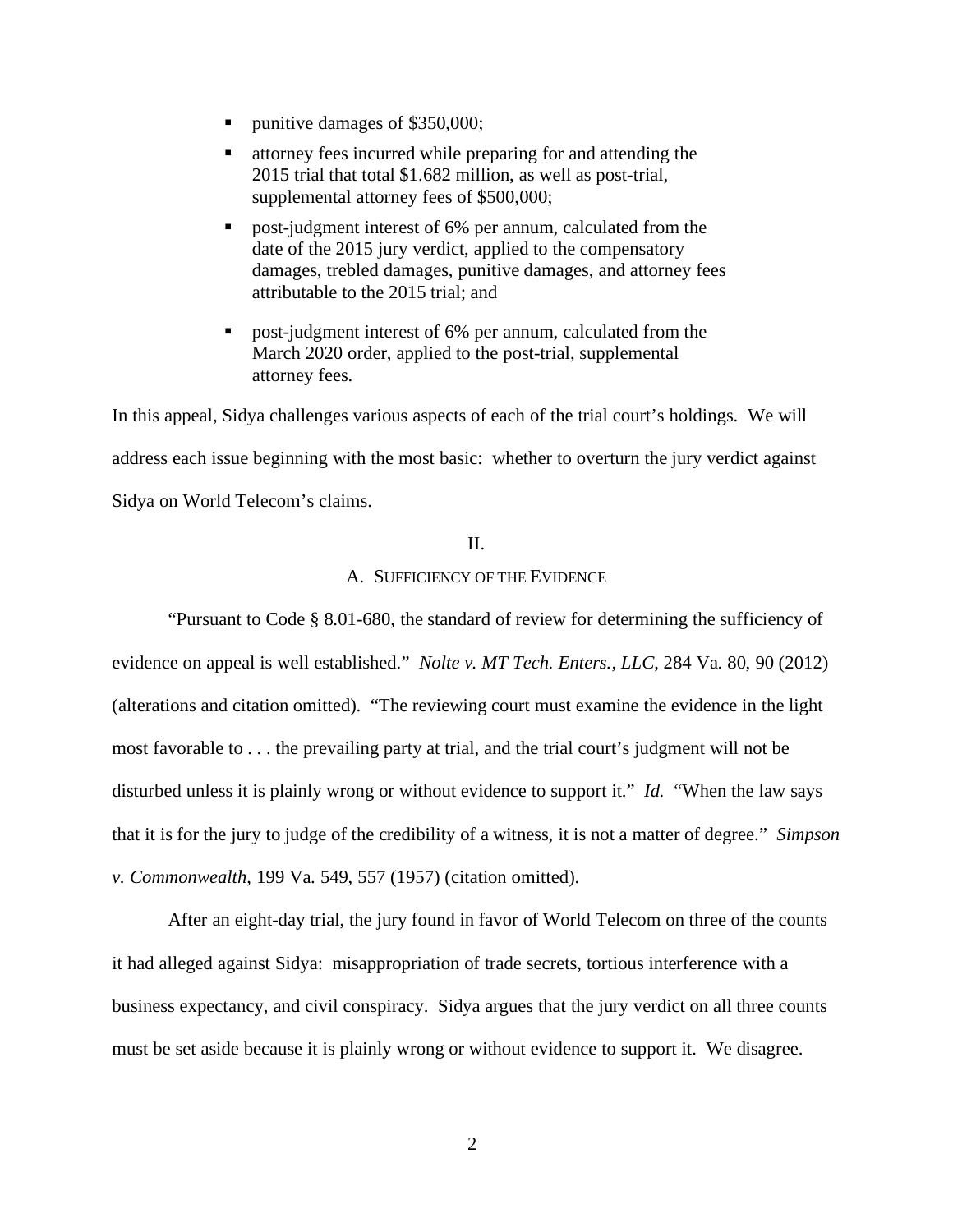- punitive damages of \$350,000;
- attorney fees incurred while preparing for and attending the 2015 trial that total \$1.682 million, as well as post-trial, supplemental attorney fees of \$500,000;
- **Parameter interest of 6% per annum, calculated from the** date of the 2015 jury verdict, applied to the compensatory damages, trebled damages, punitive damages, and attorney fees attributable to the 2015 trial; and
- post-judgment interest of 6% per annum, calculated from the March 2020 order, applied to the post-trial, supplemental attorney fees.

In this appeal, Sidya challenges various aspects of each of the trial court's holdings. We will address each issue beginning with the most basic: whether to overturn the jury verdict against Sidya on World Telecom's claims.

## II.

## A. SUFFICIENCY OF THE EVIDENCE

"Pursuant to Code § 8.01-680, the standard of review for determining the sufficiency of evidence on appeal is well established." *Nolte v. MT Tech. Enters., LLC*, 284 Va. 80, 90 (2012) (alterations and citation omitted). "The reviewing court must examine the evidence in the light most favorable to . . . the prevailing party at trial, and the trial court's judgment will not be disturbed unless it is plainly wrong or without evidence to support it." *Id.* "When the law says that it is for the jury to judge of the credibility of a witness, it is not a matter of degree." *Simpson v. Commonwealth*, 199 Va. 549, 557 (1957) (citation omitted).

After an eight-day trial, the jury found in favor of World Telecom on three of the counts it had alleged against Sidya: misappropriation of trade secrets, tortious interference with a business expectancy, and civil conspiracy. Sidya argues that the jury verdict on all three counts must be set aside because it is plainly wrong or without evidence to support it. We disagree.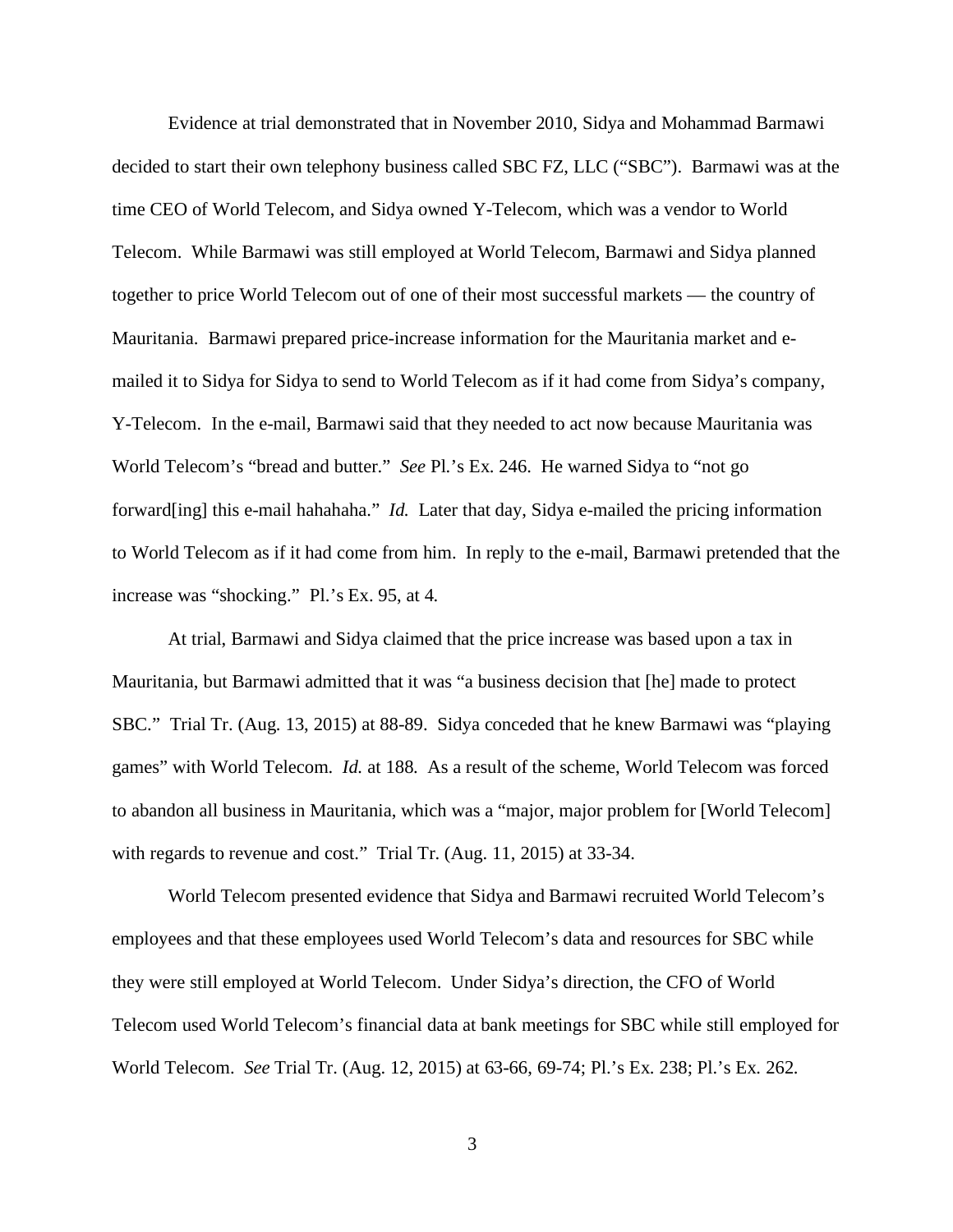Evidence at trial demonstrated that in November 2010, Sidya and Mohammad Barmawi decided to start their own telephony business called SBC FZ, LLC ("SBC"). Barmawi was at the time CEO of World Telecom, and Sidya owned Y-Telecom, which was a vendor to World Telecom. While Barmawi was still employed at World Telecom, Barmawi and Sidya planned together to price World Telecom out of one of their most successful markets — the country of Mauritania. Barmawi prepared price-increase information for the Mauritania market and emailed it to Sidya for Sidya to send to World Telecom as if it had come from Sidya's company, Y-Telecom. In the e-mail, Barmawi said that they needed to act now because Mauritania was World Telecom's "bread and butter." *See* Pl.'s Ex. 246. He warned Sidya to "not go forward[ing] this e-mail hahahaha." *Id.* Later that day, Sidya e-mailed the pricing information to World Telecom as if it had come from him. In reply to the e-mail, Barmawi pretended that the increase was "shocking." Pl.'s Ex. 95, at 4.

At trial, Barmawi and Sidya claimed that the price increase was based upon a tax in Mauritania, but Barmawi admitted that it was "a business decision that [he] made to protect SBC." Trial Tr. (Aug. 13, 2015) at 88-89. Sidya conceded that he knew Barmawi was "playing games" with World Telecom. *Id.* at 188. As a result of the scheme, World Telecom was forced to abandon all business in Mauritania, which was a "major, major problem for [World Telecom] with regards to revenue and cost." Trial Tr. (Aug. 11, 2015) at 33-34.

World Telecom presented evidence that Sidya and Barmawi recruited World Telecom's employees and that these employees used World Telecom's data and resources for SBC while they were still employed at World Telecom. Under Sidya's direction, the CFO of World Telecom used World Telecom's financial data at bank meetings for SBC while still employed for World Telecom. *See* Trial Tr. (Aug. 12, 2015) at 63-66, 69-74; Pl.'s Ex. 238; Pl.'s Ex. 262.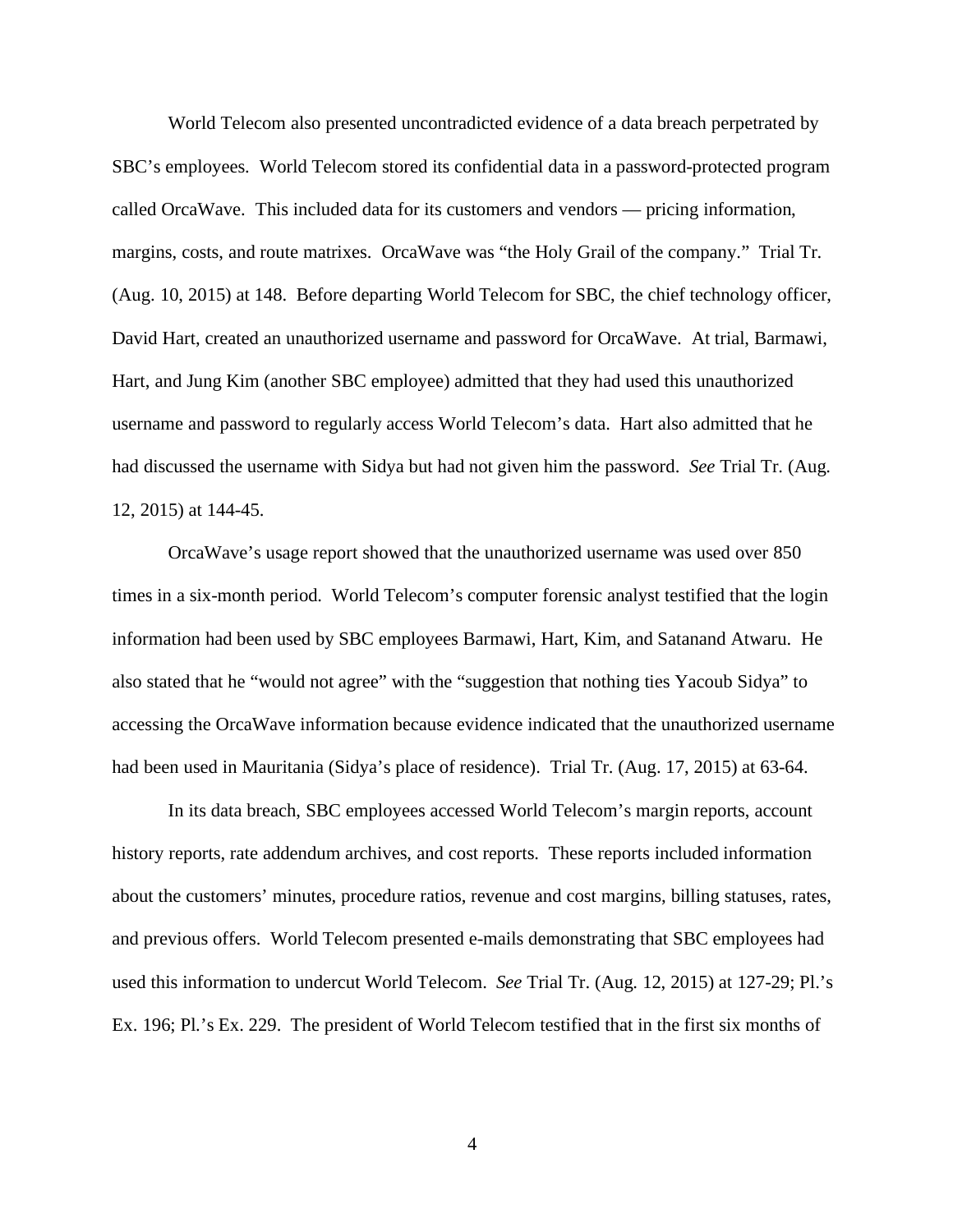World Telecom also presented uncontradicted evidence of a data breach perpetrated by SBC's employees. World Telecom stored its confidential data in a password-protected program called OrcaWave. This included data for its customers and vendors — pricing information, margins, costs, and route matrixes. OrcaWave was "the Holy Grail of the company." Trial Tr. (Aug. 10, 2015) at 148. Before departing World Telecom for SBC, the chief technology officer, David Hart, created an unauthorized username and password for OrcaWave. At trial, Barmawi, Hart, and Jung Kim (another SBC employee) admitted that they had used this unauthorized username and password to regularly access World Telecom's data. Hart also admitted that he had discussed the username with Sidya but had not given him the password. *See* Trial Tr. (Aug. 12, 2015) at 144-45.

OrcaWave's usage report showed that the unauthorized username was used over 850 times in a six-month period. World Telecom's computer forensic analyst testified that the login information had been used by SBC employees Barmawi, Hart, Kim, and Satanand Atwaru. He also stated that he "would not agree" with the "suggestion that nothing ties Yacoub Sidya" to accessing the OrcaWave information because evidence indicated that the unauthorized username had been used in Mauritania (Sidya's place of residence). Trial Tr. (Aug. 17, 2015) at 63-64.

In its data breach, SBC employees accessed World Telecom's margin reports, account history reports, rate addendum archives, and cost reports. These reports included information about the customers' minutes, procedure ratios, revenue and cost margins, billing statuses, rates, and previous offers. World Telecom presented e-mails demonstrating that SBC employees had used this information to undercut World Telecom. *See* Trial Tr. (Aug. 12, 2015) at 127-29; Pl.'s Ex. 196; Pl.'s Ex. 229. The president of World Telecom testified that in the first six months of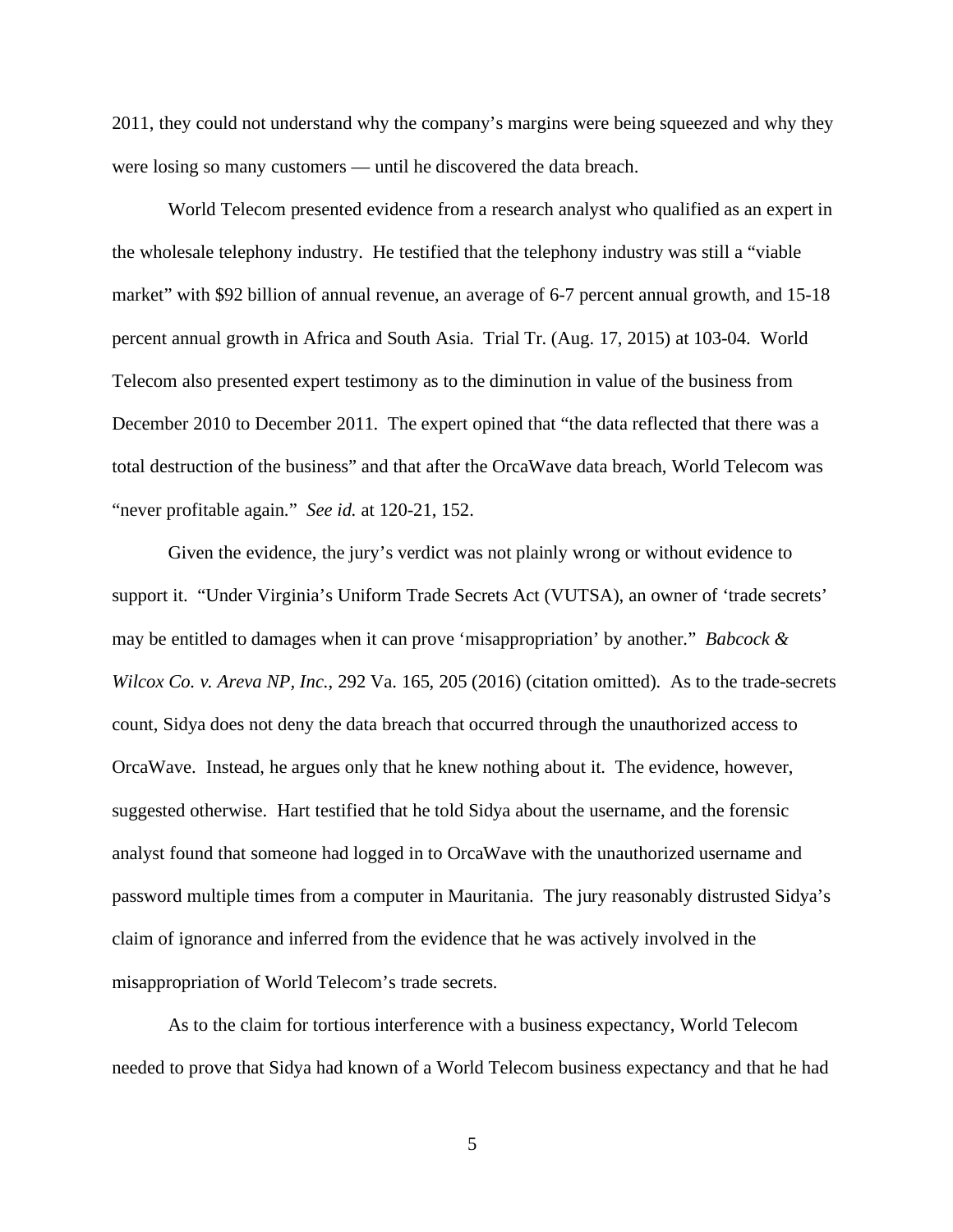2011, they could not understand why the company's margins were being squeezed and why they were losing so many customers — until he discovered the data breach.

World Telecom presented evidence from a research analyst who qualified as an expert in the wholesale telephony industry. He testified that the telephony industry was still a "viable market" with \$92 billion of annual revenue, an average of 6-7 percent annual growth, and 15-18 percent annual growth in Africa and South Asia. Trial Tr. (Aug. 17, 2015) at 103-04. World Telecom also presented expert testimony as to the diminution in value of the business from December 2010 to December 2011. The expert opined that "the data reflected that there was a total destruction of the business" and that after the OrcaWave data breach, World Telecom was "never profitable again." *See id.* at 120-21, 152.

Given the evidence, the jury's verdict was not plainly wrong or without evidence to support it. "Under Virginia's Uniform Trade Secrets Act (VUTSA), an owner of 'trade secrets' may be entitled to damages when it can prove 'misappropriation' by another." *Babcock & Wilcox Co. v. Areva NP, Inc.*, 292 Va. 165, 205 (2016) (citation omitted). As to the trade-secrets count, Sidya does not deny the data breach that occurred through the unauthorized access to OrcaWave. Instead, he argues only that he knew nothing about it. The evidence, however, suggested otherwise. Hart testified that he told Sidya about the username, and the forensic analyst found that someone had logged in to OrcaWave with the unauthorized username and password multiple times from a computer in Mauritania. The jury reasonably distrusted Sidya's claim of ignorance and inferred from the evidence that he was actively involved in the misappropriation of World Telecom's trade secrets.

As to the claim for tortious interference with a business expectancy, World Telecom needed to prove that Sidya had known of a World Telecom business expectancy and that he had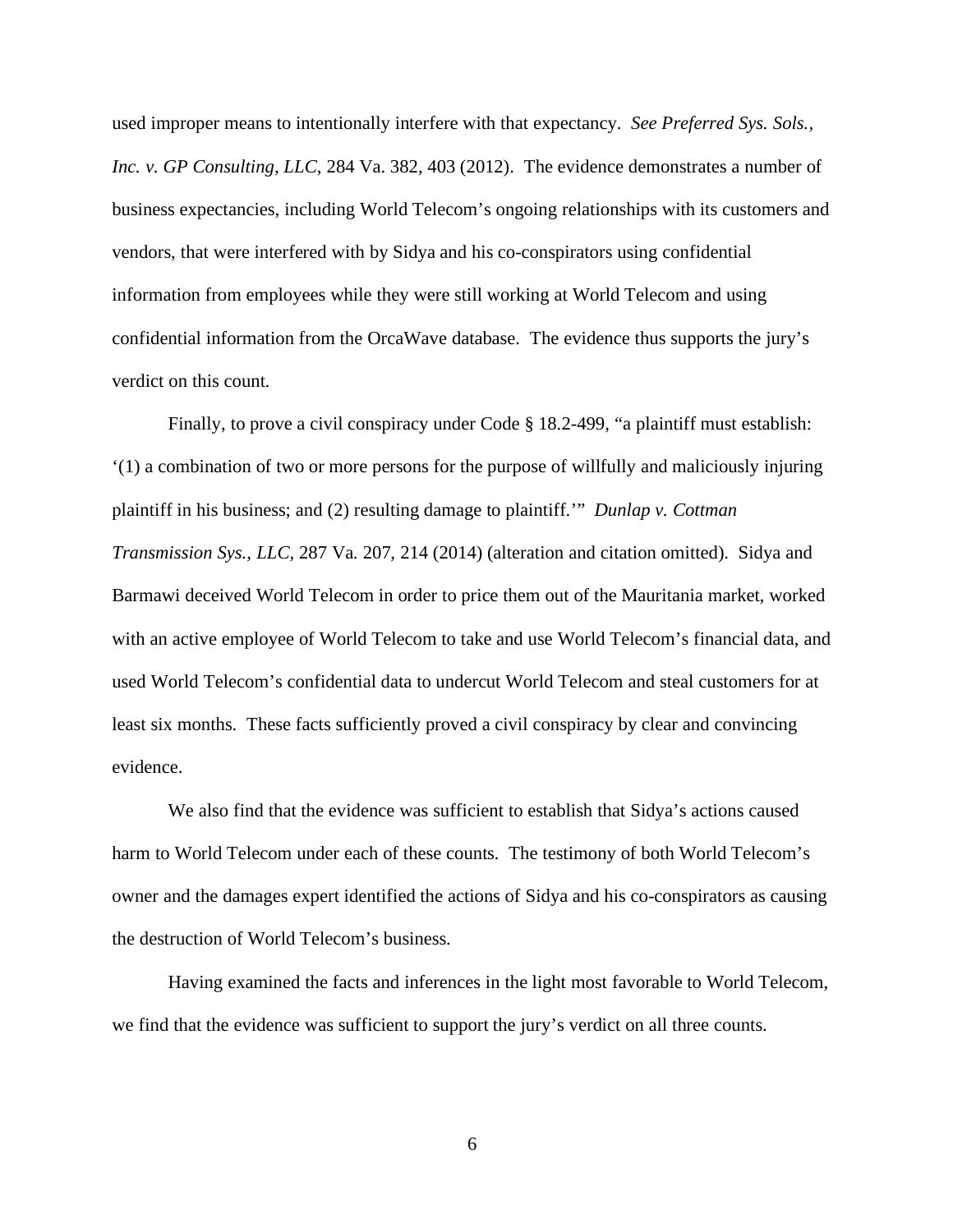used improper means to intentionally interfere with that expectancy. *See Preferred Sys. Sols., Inc. v. GP Consulting, LLC*, 284 Va. 382, 403 (2012). The evidence demonstrates a number of business expectancies, including World Telecom's ongoing relationships with its customers and vendors, that were interfered with by Sidya and his co-conspirators using confidential information from employees while they were still working at World Telecom and using confidential information from the OrcaWave database. The evidence thus supports the jury's verdict on this count.

Finally, to prove a civil conspiracy under Code § 18.2-499, "a plaintiff must establish: '(1) a combination of two or more persons for the purpose of willfully and maliciously injuring plaintiff in his business; and (2) resulting damage to plaintiff.'" *Dunlap v. Cottman Transmission Sys., LLC*, 287 Va. 207, 214 (2014) (alteration and citation omitted). Sidya and Barmawi deceived World Telecom in order to price them out of the Mauritania market, worked with an active employee of World Telecom to take and use World Telecom's financial data, and used World Telecom's confidential data to undercut World Telecom and steal customers for at least six months. These facts sufficiently proved a civil conspiracy by clear and convincing evidence.

We also find that the evidence was sufficient to establish that Sidya's actions caused harm to World Telecom under each of these counts. The testimony of both World Telecom's owner and the damages expert identified the actions of Sidya and his co-conspirators as causing the destruction of World Telecom's business.

Having examined the facts and inferences in the light most favorable to World Telecom, we find that the evidence was sufficient to support the jury's verdict on all three counts.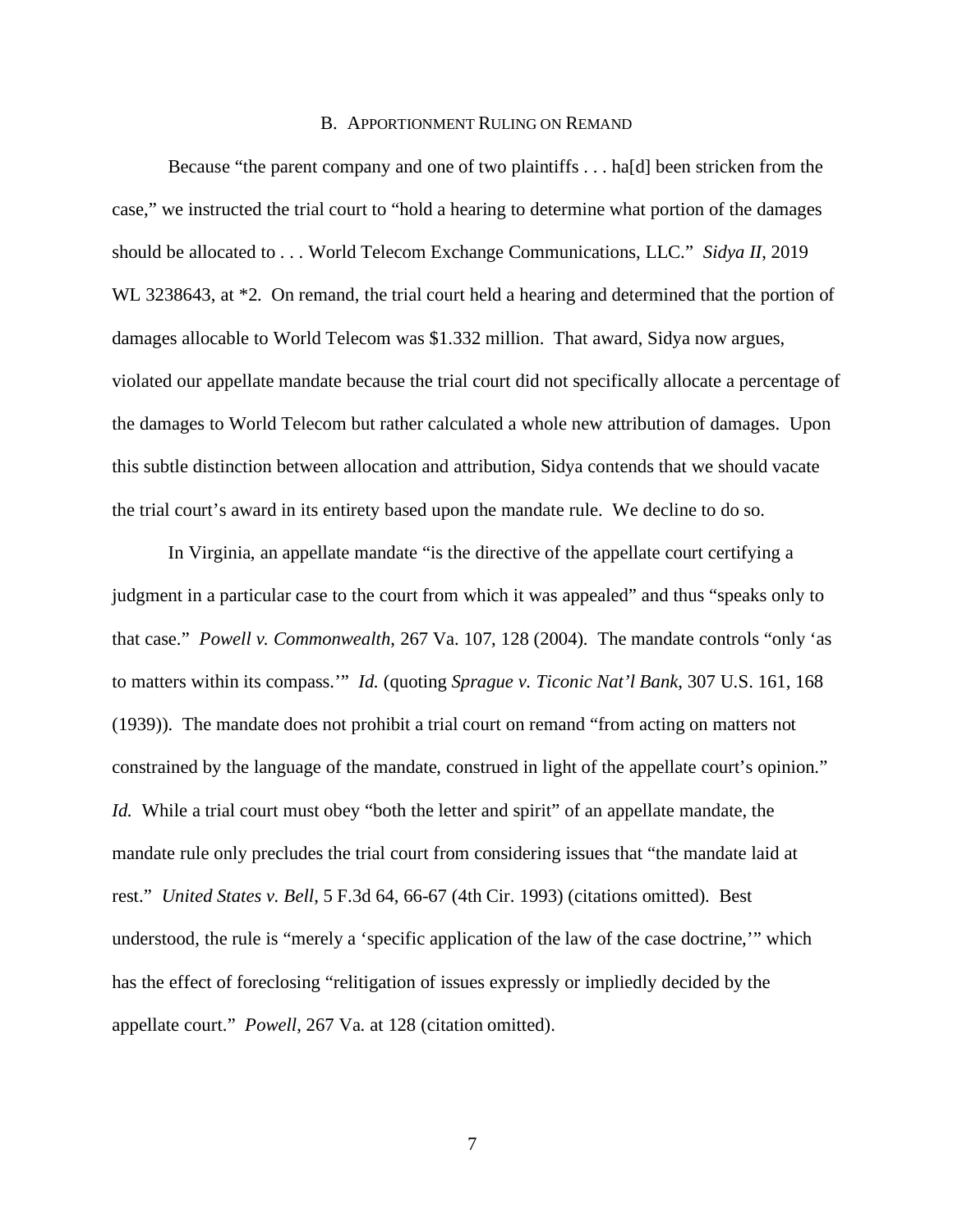#### B. APPORTIONMENT RULING ON REMAND

Because "the parent company and one of two plaintiffs . . . ha[d] been stricken from the case," we instructed the trial court to "hold a hearing to determine what portion of the damages should be allocated to . . . World Telecom Exchange Communications, LLC." *Sidya II*, 2019 WL 3238643, at \*2. On remand, the trial court held a hearing and determined that the portion of damages allocable to World Telecom was \$1.332 million. That award, Sidya now argues, violated our appellate mandate because the trial court did not specifically allocate a percentage of the damages to World Telecom but rather calculated a whole new attribution of damages. Upon this subtle distinction between allocation and attribution, Sidya contends that we should vacate the trial court's award in its entirety based upon the mandate rule. We decline to do so.

In Virginia, an appellate mandate "is the directive of the appellate court certifying a judgment in a particular case to the court from which it was appealed" and thus "speaks only to that case." *Powell v. Commonwealth*, 267 Va. 107, 128 (2004). The mandate controls "only 'as to matters within its compass.'" *Id.* (quoting *Sprague v. Ticonic Nat'l Bank*, 307 U.S. 161, 168 (1939)). The mandate does not prohibit a trial court on remand "from acting on matters not constrained by the language of the mandate, construed in light of the appellate court's opinion." *Id.* While a trial court must obey "both the letter and spirit" of an appellate mandate, the mandate rule only precludes the trial court from considering issues that "the mandate laid at rest." *United States v. Bell*, 5 F.3d 64, 66-67 (4th Cir. 1993) (citations omitted). Best understood, the rule is "merely a 'specific application of the law of the case doctrine,'" which has the effect of foreclosing "relitigation of issues expressly or impliedly decided by the appellate court." *Powell*, 267 Va. at 128 (citation omitted).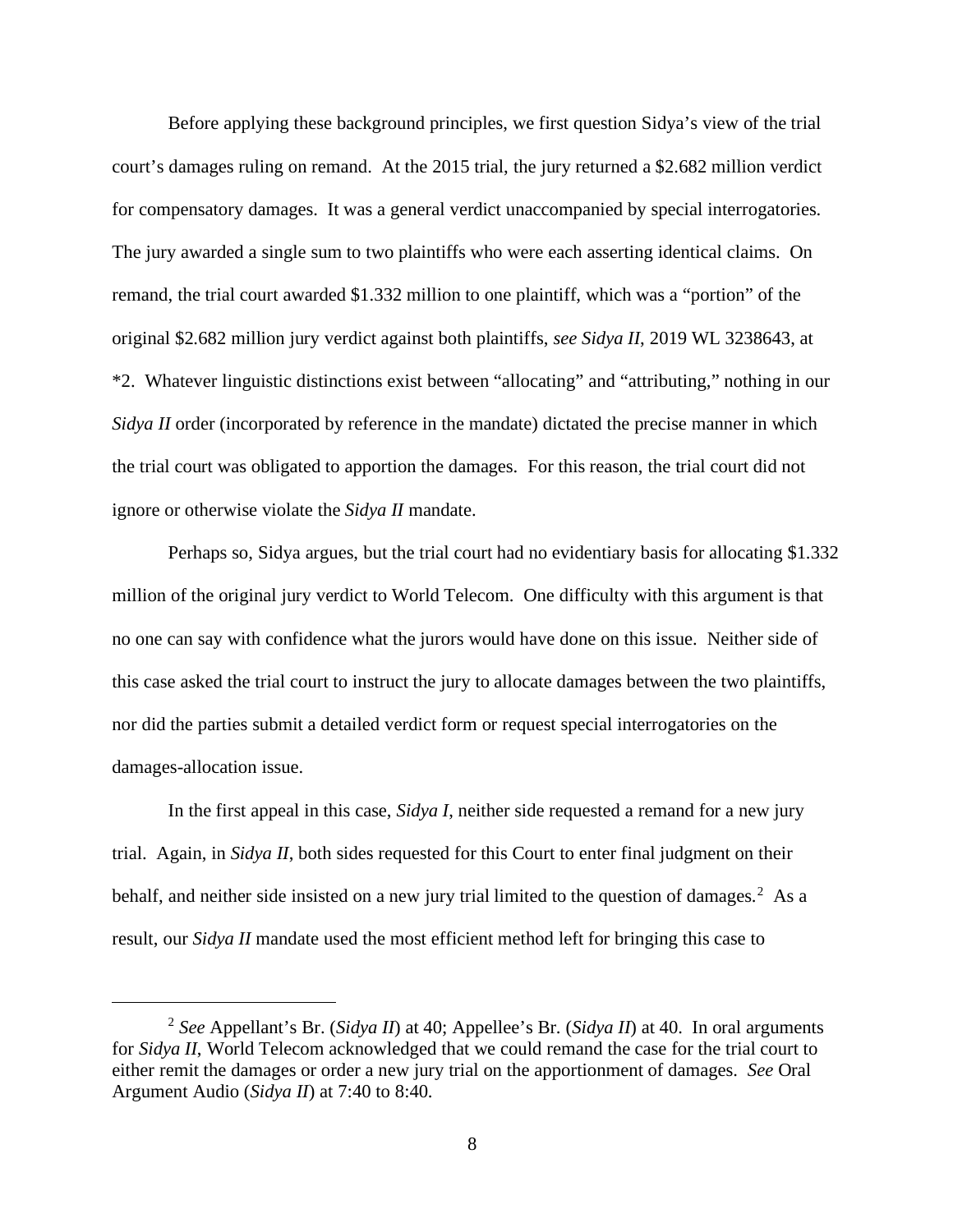Before applying these background principles, we first question Sidya's view of the trial court's damages ruling on remand. At the 2015 trial, the jury returned a \$2.682 million verdict for compensatory damages. It was a general verdict unaccompanied by special interrogatories. The jury awarded a single sum to two plaintiffs who were each asserting identical claims. On remand, the trial court awarded \$1.332 million to one plaintiff, which was a "portion" of the original \$2.682 million jury verdict against both plaintiffs, *see Sidya II*, 2019 WL 3238643, at \*2. Whatever linguistic distinctions exist between "allocating" and "attributing," nothing in our *Sidya II* order (incorporated by reference in the mandate) dictated the precise manner in which the trial court was obligated to apportion the damages. For this reason, the trial court did not ignore or otherwise violate the *Sidya II* mandate.

Perhaps so, Sidya argues, but the trial court had no evidentiary basis for allocating \$1.332 million of the original jury verdict to World Telecom. One difficulty with this argument is that no one can say with confidence what the jurors would have done on this issue. Neither side of this case asked the trial court to instruct the jury to allocate damages between the two plaintiffs, nor did the parties submit a detailed verdict form or request special interrogatories on the damages-allocation issue.

In the first appeal in this case, *Sidya I*, neither side requested a remand for a new jury trial. Again, in *Sidya II*, both sides requested for this Court to enter final judgment on their behalf, and neither side insisted on a new jury trial limited to the question of damages.<sup>[2](#page-7-0)</sup> As a result, our *Sidya II* mandate used the most efficient method left for bringing this case to

<span id="page-7-0"></span><sup>2</sup> *See* Appellant's Br. (*Sidya II*) at 40; Appellee's Br. (*Sidya II*) at 40. In oral arguments for *Sidya II*, World Telecom acknowledged that we could remand the case for the trial court to either remit the damages or order a new jury trial on the apportionment of damages. *See* Oral Argument Audio (*Sidya II*) at 7:40 to 8:40.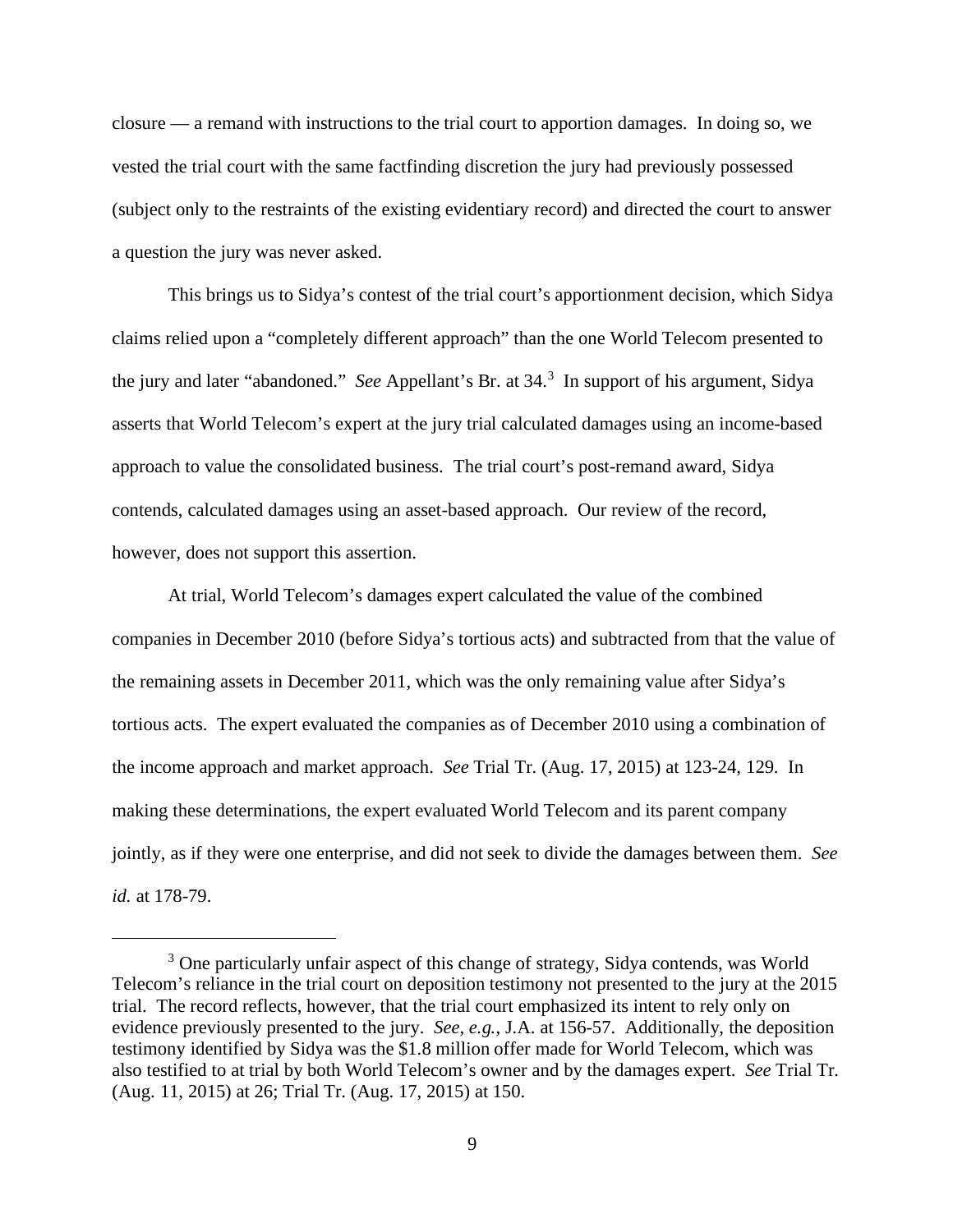closure — a remand with instructions to the trial court to apportion damages. In doing so, we vested the trial court with the same factfinding discretion the jury had previously possessed (subject only to the restraints of the existing evidentiary record) and directed the court to answer a question the jury was never asked.

This brings us to Sidya's contest of the trial court's apportionment decision, which Sidya claims relied upon a "completely different approach" than the one World Telecom presented to the jury and later "abandoned." *See* Appellant's Br. at 34. [3](#page-8-0) In support of his argument, Sidya asserts that World Telecom's expert at the jury trial calculated damages using an income-based approach to value the consolidated business. The trial court's post-remand award, Sidya contends, calculated damages using an asset-based approach. Our review of the record, however, does not support this assertion.

At trial, World Telecom's damages expert calculated the value of the combined companies in December 2010 (before Sidya's tortious acts) and subtracted from that the value of the remaining assets in December 2011, which was the only remaining value after Sidya's tortious acts. The expert evaluated the companies as of December 2010 using a combination of the income approach and market approach. *See* Trial Tr. (Aug. 17, 2015) at 123-24, 129. In making these determinations, the expert evaluated World Telecom and its parent company jointly, as if they were one enterprise, and did not seek to divide the damages between them. *See id.* at 178-79.

<span id="page-8-0"></span><sup>&</sup>lt;sup>3</sup> One particularly unfair aspect of this change of strategy, Sidya contends, was World Telecom's reliance in the trial court on deposition testimony not presented to the jury at the 2015 trial. The record reflects, however, that the trial court emphasized its intent to rely only on evidence previously presented to the jury. *See, e.g.*, J.A. at 156-57. Additionally, the deposition testimony identified by Sidya was the \$1.8 million offer made for World Telecom, which was also testified to at trial by both World Telecom's owner and by the damages expert. *See* Trial Tr. (Aug. 11, 2015) at 26; Trial Tr. (Aug. 17, 2015) at 150.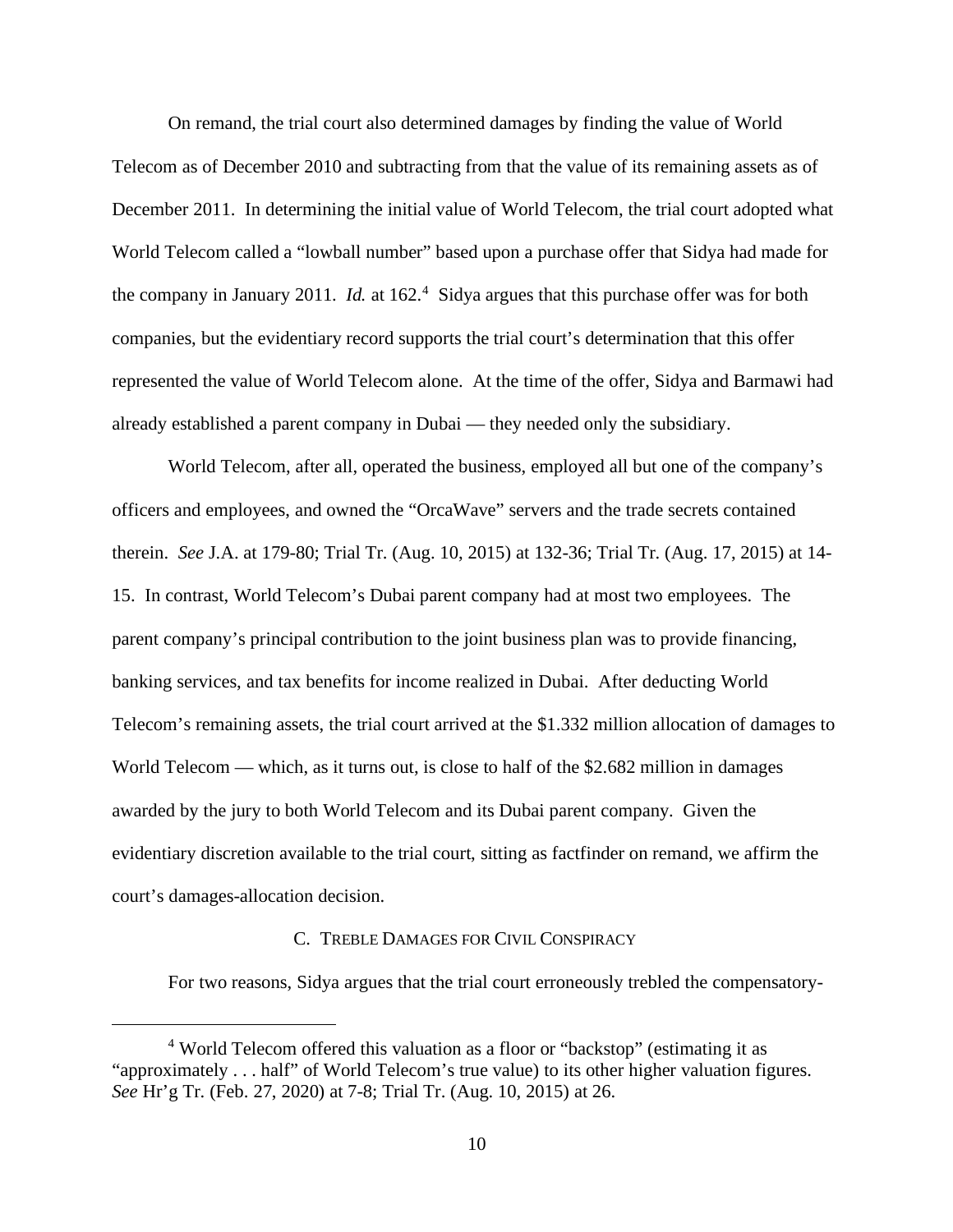On remand, the trial court also determined damages by finding the value of World Telecom as of December 2010 and subtracting from that the value of its remaining assets as of December 2011. In determining the initial value of World Telecom, the trial court adopted what World Telecom called a "lowball number" based upon a purchase offer that Sidya had made for the company in January 2011. *Id.* at 162<sup>[4](#page-9-0)</sup> Sidya argues that this purchase offer was for both companies, but the evidentiary record supports the trial court's determination that this offer represented the value of World Telecom alone. At the time of the offer, Sidya and Barmawi had already established a parent company in Dubai — they needed only the subsidiary.

World Telecom, after all, operated the business, employed all but one of the company's officers and employees, and owned the "OrcaWave" servers and the trade secrets contained therein. *See* J.A. at 179-80; Trial Tr. (Aug. 10, 2015) at 132-36; Trial Tr. (Aug. 17, 2015) at 14- 15. In contrast, World Telecom's Dubai parent company had at most two employees. The parent company's principal contribution to the joint business plan was to provide financing, banking services, and tax benefits for income realized in Dubai. After deducting World Telecom's remaining assets, the trial court arrived at the \$1.332 million allocation of damages to World Telecom — which, as it turns out, is close to half of the \$2.682 million in damages awarded by the jury to both World Telecom and its Dubai parent company. Given the evidentiary discretion available to the trial court, sitting as factfinder on remand, we affirm the court's damages-allocation decision.

## C. TREBLE DAMAGES FOR CIVIL CONSPIRACY

For two reasons, Sidya argues that the trial court erroneously trebled the compensatory-

<span id="page-9-0"></span><sup>&</sup>lt;sup>4</sup> World Telecom offered this valuation as a floor or "backstop" (estimating it as "approximately . . . half" of World Telecom's true value) to its other higher valuation figures. *See* Hr'g Tr. (Feb. 27, 2020) at 7-8; Trial Tr. (Aug. 10, 2015) at 26.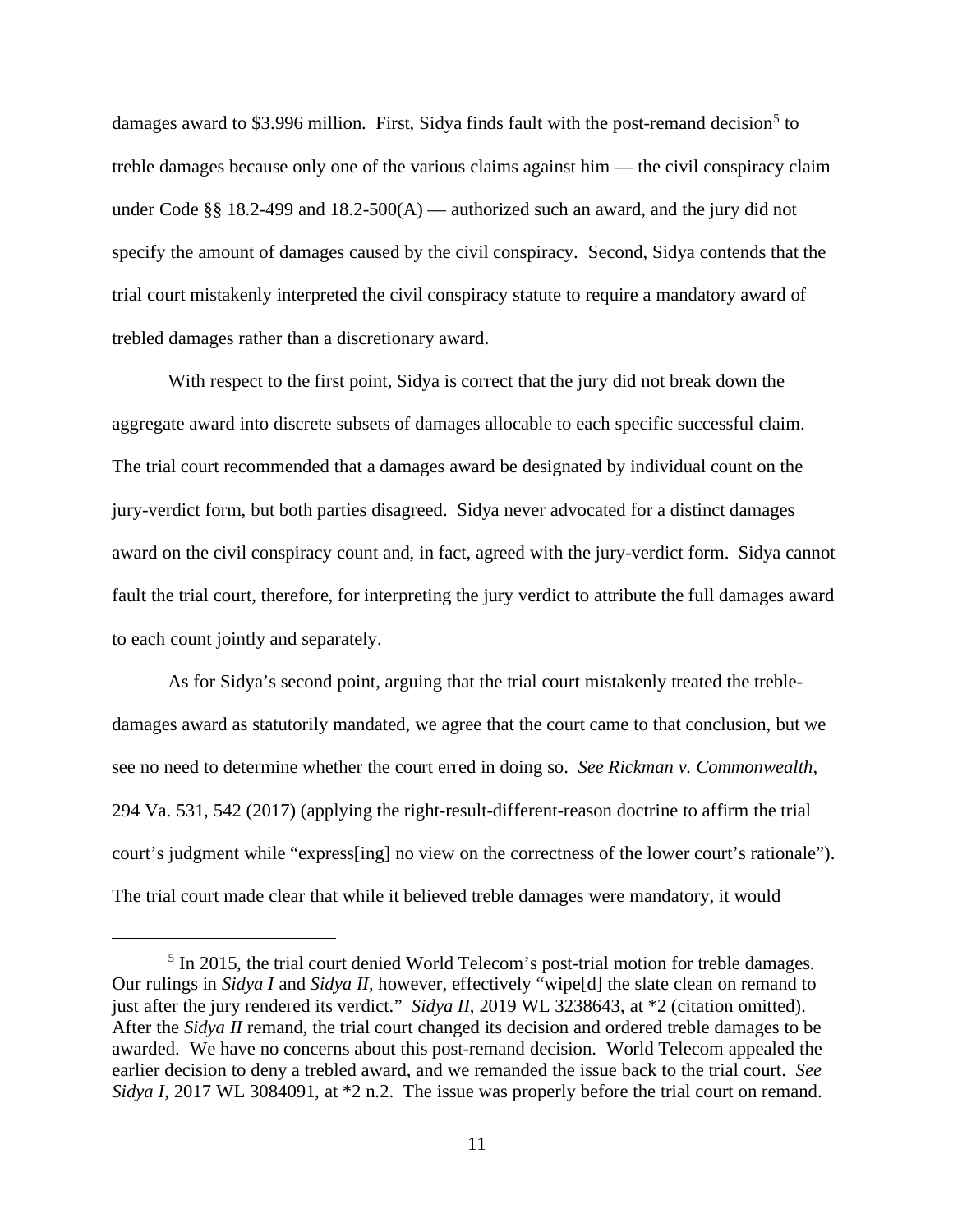damages award to \$3.996 million. First, Sidya finds fault with the post-remand decision<sup>[5](#page-10-0)</sup> to treble damages because only one of the various claims against him — the civil conspiracy claim under Code  $\S$ § 18.2-499 and 18.2-500(A) — authorized such an award, and the jury did not specify the amount of damages caused by the civil conspiracy. Second, Sidya contends that the trial court mistakenly interpreted the civil conspiracy statute to require a mandatory award of trebled damages rather than a discretionary award.

With respect to the first point, Sidya is correct that the jury did not break down the aggregate award into discrete subsets of damages allocable to each specific successful claim. The trial court recommended that a damages award be designated by individual count on the jury-verdict form, but both parties disagreed. Sidya never advocated for a distinct damages award on the civil conspiracy count and, in fact, agreed with the jury-verdict form. Sidya cannot fault the trial court, therefore, for interpreting the jury verdict to attribute the full damages award to each count jointly and separately.

As for Sidya's second point, arguing that the trial court mistakenly treated the trebledamages award as statutorily mandated, we agree that the court came to that conclusion, but we see no need to determine whether the court erred in doing so. *See Rickman v. Commonwealth*, 294 Va. 531, 542 (2017) (applying the right-result-different-reason doctrine to affirm the trial court's judgment while "express[ing] no view on the correctness of the lower court's rationale"). The trial court made clear that while it believed treble damages were mandatory, it would

<span id="page-10-0"></span><sup>&</sup>lt;sup>5</sup> In 2015, the trial court denied World Telecom's post-trial motion for treble damages. Our rulings in *Sidya I* and *Sidya II*, however, effectively "wipe[d] the slate clean on remand to just after the jury rendered its verdict." *Sidya II*, 2019 WL 3238643, at \*2 (citation omitted). After the *Sidya II* remand, the trial court changed its decision and ordered treble damages to be awarded. We have no concerns about this post-remand decision. World Telecom appealed the earlier decision to deny a trebled award, and we remanded the issue back to the trial court. *See Sidya I*, 2017 WL 3084091, at \*2 n.2. The issue was properly before the trial court on remand.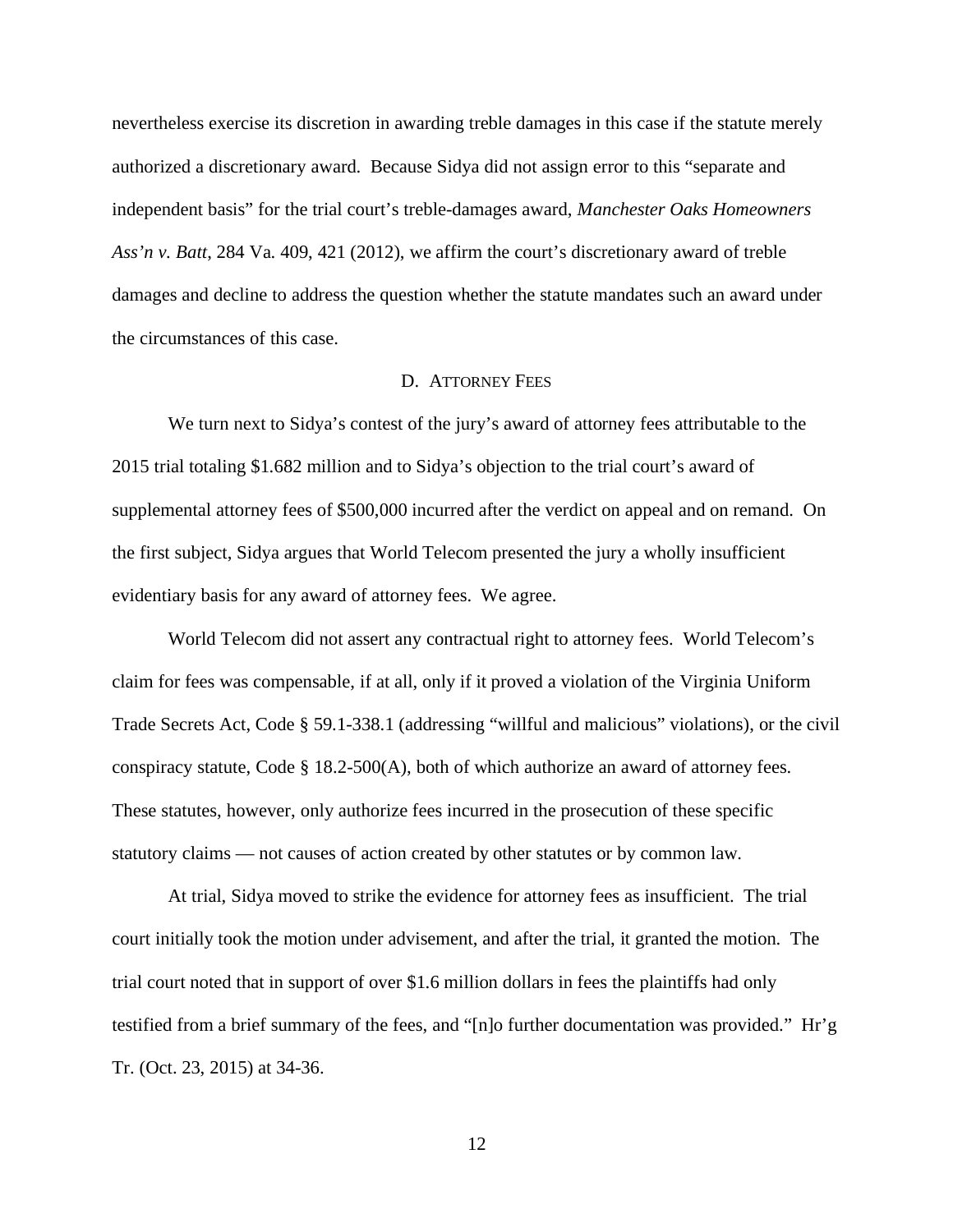nevertheless exercise its discretion in awarding treble damages in this case if the statute merely authorized a discretionary award. Because Sidya did not assign error to this "separate and independent basis" for the trial court's treble-damages award, *Manchester Oaks Homeowners Ass'n v. Batt*, 284 Va. 409, 421 (2012), we affirm the court's discretionary award of treble damages and decline to address the question whether the statute mandates such an award under the circumstances of this case.

### D. ATTORNEY FEES

We turn next to Sidya's contest of the jury's award of attorney fees attributable to the 2015 trial totaling \$1.682 million and to Sidya's objection to the trial court's award of supplemental attorney fees of \$500,000 incurred after the verdict on appeal and on remand. On the first subject, Sidya argues that World Telecom presented the jury a wholly insufficient evidentiary basis for any award of attorney fees. We agree.

World Telecom did not assert any contractual right to attorney fees. World Telecom's claim for fees was compensable, if at all, only if it proved a violation of the Virginia Uniform Trade Secrets Act, Code § 59.1-338.1 (addressing "willful and malicious" violations), or the civil conspiracy statute, Code § 18.2-500(A), both of which authorize an award of attorney fees. These statutes, however, only authorize fees incurred in the prosecution of these specific statutory claims — not causes of action created by other statutes or by common law.

At trial, Sidya moved to strike the evidence for attorney fees as insufficient. The trial court initially took the motion under advisement, and after the trial, it granted the motion. The trial court noted that in support of over \$1.6 million dollars in fees the plaintiffs had only testified from a brief summary of the fees, and "[n]o further documentation was provided." Hr'g Tr. (Oct. 23, 2015) at 34-36.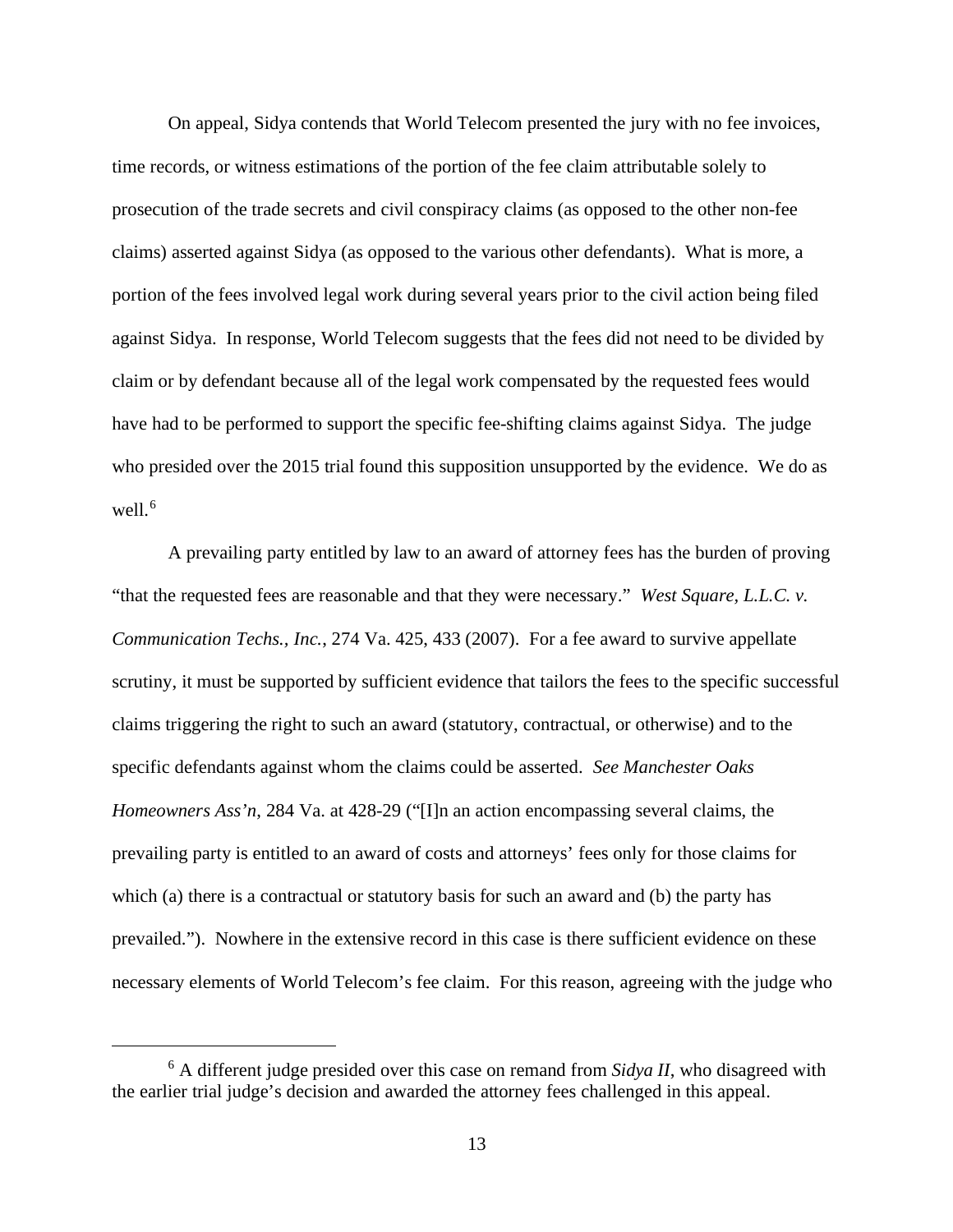On appeal, Sidya contends that World Telecom presented the jury with no fee invoices, time records, or witness estimations of the portion of the fee claim attributable solely to prosecution of the trade secrets and civil conspiracy claims (as opposed to the other non-fee claims) asserted against Sidya (as opposed to the various other defendants). What is more, a portion of the fees involved legal work during several years prior to the civil action being filed against Sidya. In response, World Telecom suggests that the fees did not need to be divided by claim or by defendant because all of the legal work compensated by the requested fees would have had to be performed to support the specific fee-shifting claims against Sidya. The judge who presided over the 2015 trial found this supposition unsupported by the evidence. We do as well. [6](#page-12-0)

A prevailing party entitled by law to an award of attorney fees has the burden of proving "that the requested fees are reasonable and that they were necessary." *West Square, L.L.C. v. Communication Techs., Inc.*, 274 Va. 425, 433 (2007). For a fee award to survive appellate scrutiny, it must be supported by sufficient evidence that tailors the fees to the specific successful claims triggering the right to such an award (statutory, contractual, or otherwise) and to the specific defendants against whom the claims could be asserted. *See Manchester Oaks Homeowners Ass'n*, 284 Va. at 428-29 ("[I]n an action encompassing several claims, the prevailing party is entitled to an award of costs and attorneys' fees only for those claims for which (a) there is a contractual or statutory basis for such an award and (b) the party has prevailed."). Nowhere in the extensive record in this case is there sufficient evidence on these necessary elements of World Telecom's fee claim. For this reason, agreeing with the judge who

<span id="page-12-0"></span><sup>6</sup> A different judge presided over this case on remand from *Sidya II*, who disagreed with the earlier trial judge's decision and awarded the attorney fees challenged in this appeal.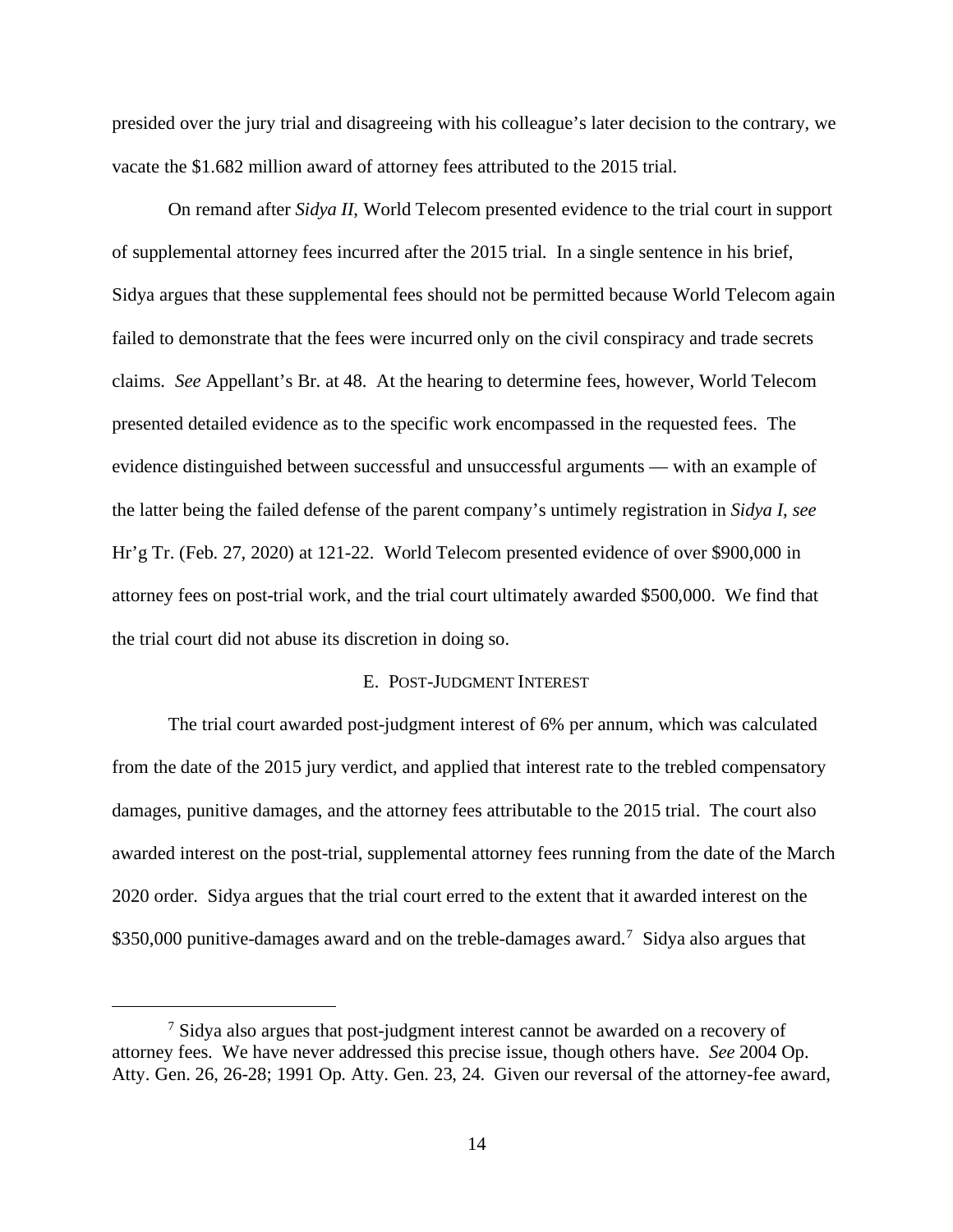presided over the jury trial and disagreeing with his colleague's later decision to the contrary, we vacate the \$1.682 million award of attorney fees attributed to the 2015 trial.

On remand after *Sidya II*, World Telecom presented evidence to the trial court in support of supplemental attorney fees incurred after the 2015 trial. In a single sentence in his brief, Sidya argues that these supplemental fees should not be permitted because World Telecom again failed to demonstrate that the fees were incurred only on the civil conspiracy and trade secrets claims. *See* Appellant's Br. at 48. At the hearing to determine fees, however, World Telecom presented detailed evidence as to the specific work encompassed in the requested fees. The evidence distinguished between successful and unsuccessful arguments — with an example of the latter being the failed defense of the parent company's untimely registration in *Sidya I*, *see* Hr'g Tr. (Feb. 27, 2020) at 121-22. World Telecom presented evidence of over \$900,000 in attorney fees on post-trial work, and the trial court ultimately awarded \$500,000. We find that the trial court did not abuse its discretion in doing so.

### E. POST-JUDGMENT INTEREST

The trial court awarded post-judgment interest of 6% per annum, which was calculated from the date of the 2015 jury verdict, and applied that interest rate to the trebled compensatory damages, punitive damages, and the attorney fees attributable to the 2015 trial. The court also awarded interest on the post-trial, supplemental attorney fees running from the date of the March 2020 order. Sidya argues that the trial court erred to the extent that it awarded interest on the \$350,000 punitive-damages award and on the treble-damages award.<sup>[7](#page-13-0)</sup> Sidya also argues that

<span id="page-13-0"></span><sup>&</sup>lt;sup>7</sup> Sidya also argues that post-judgment interest cannot be awarded on a recovery of attorney fees. We have never addressed this precise issue, though others have. *See* 2004 Op. Atty. Gen. 26, 26-28; 1991 Op. Atty. Gen. 23, 24. Given our reversal of the attorney-fee award,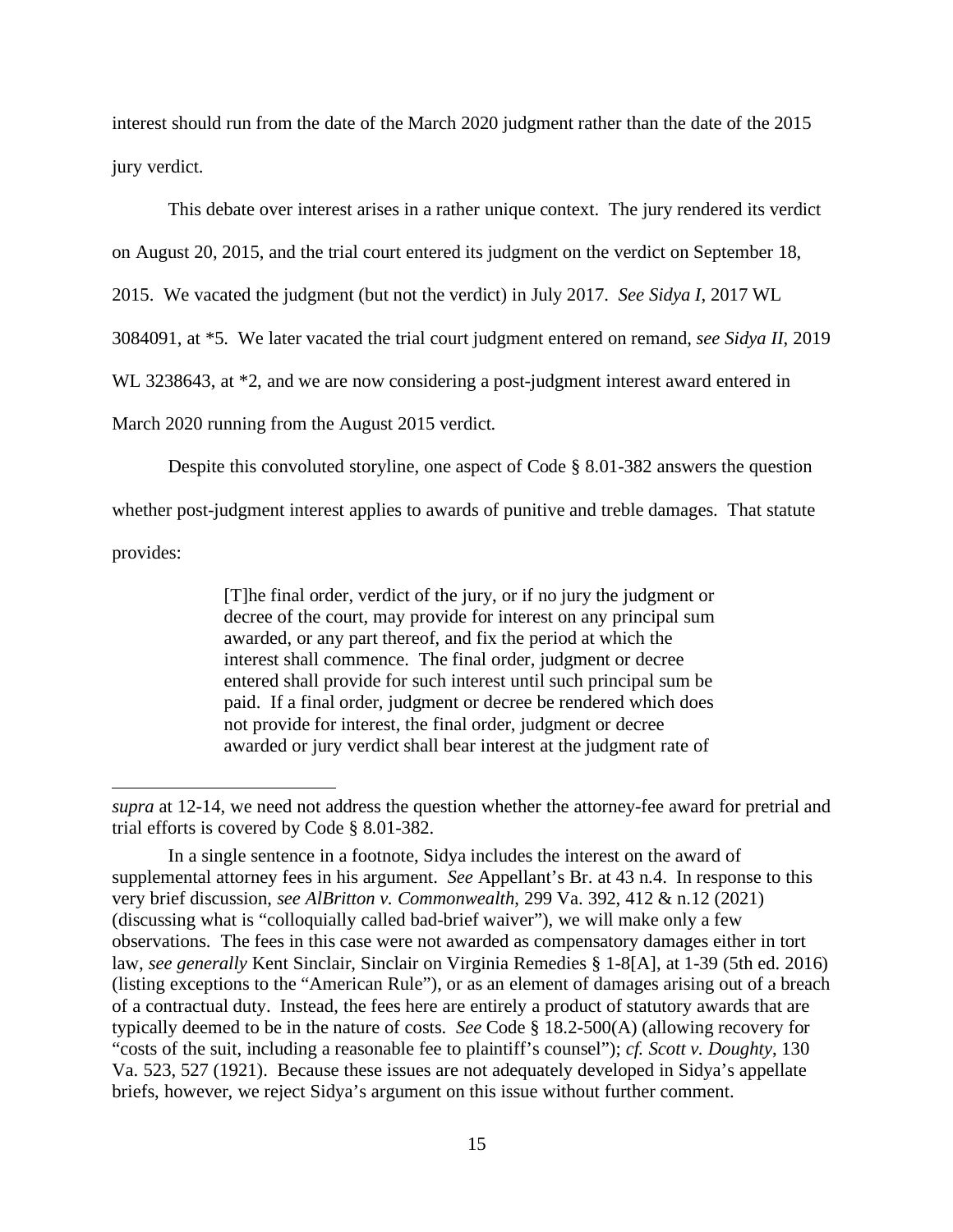interest should run from the date of the March 2020 judgment rather than the date of the 2015 jury verdict.

This debate over interest arises in a rather unique context. The jury rendered its verdict

on August 20, 2015, and the trial court entered its judgment on the verdict on September 18,

2015. We vacated the judgment (but not the verdict) in July 2017. *See Sidya I*, 2017 WL

3084091, at \*5. We later vacated the trial court judgment entered on remand, *see Sidya II*, 2019

WL 3238643, at \*2, and we are now considering a post-judgment interest award entered in

March 2020 running from the August 2015 verdict.

Despite this convoluted storyline, one aspect of Code § 8.01-382 answers the question

whether post-judgment interest applies to awards of punitive and treble damages. That statute

provides:

[T]he final order, verdict of the jury, or if no jury the judgment or decree of the court, may provide for interest on any principal sum awarded, or any part thereof, and fix the period at which the interest shall commence. The final order, judgment or decree entered shall provide for such interest until such principal sum be paid. If a final order, judgment or decree be rendered which does not provide for interest, the final order, judgment or decree awarded or jury verdict shall bear interest at the judgment rate of

*supra* at 12-14, we need not address the question whether the attorney-fee award for pretrial and trial efforts is covered by Code § 8.01-382.

In a single sentence in a footnote, Sidya includes the interest on the award of supplemental attorney fees in his argument. *See* Appellant's Br. at 43 n.4. In response to this very brief discussion, *see AlBritton v. Commonwealth*, 299 Va. 392, 412 & n.12 (2021) (discussing what is "colloquially called bad-brief waiver"), we will make only a few observations. The fees in this case were not awarded as compensatory damages either in tort law, *see generally* Kent Sinclair, Sinclair on Virginia Remedies § 1-8[A], at 1-39 (5th ed. 2016) (listing exceptions to the "American Rule"), or as an element of damages arising out of a breach of a contractual duty. Instead, the fees here are entirely a product of statutory awards that are typically deemed to be in the nature of costs. *See* Code § 18.2-500(A) (allowing recovery for "costs of the suit, including a reasonable fee to plaintiff's counsel"); *cf. Scott v. Doughty*, 130 Va. 523, 527 (1921). Because these issues are not adequately developed in Sidya's appellate briefs, however, we reject Sidya's argument on this issue without further comment.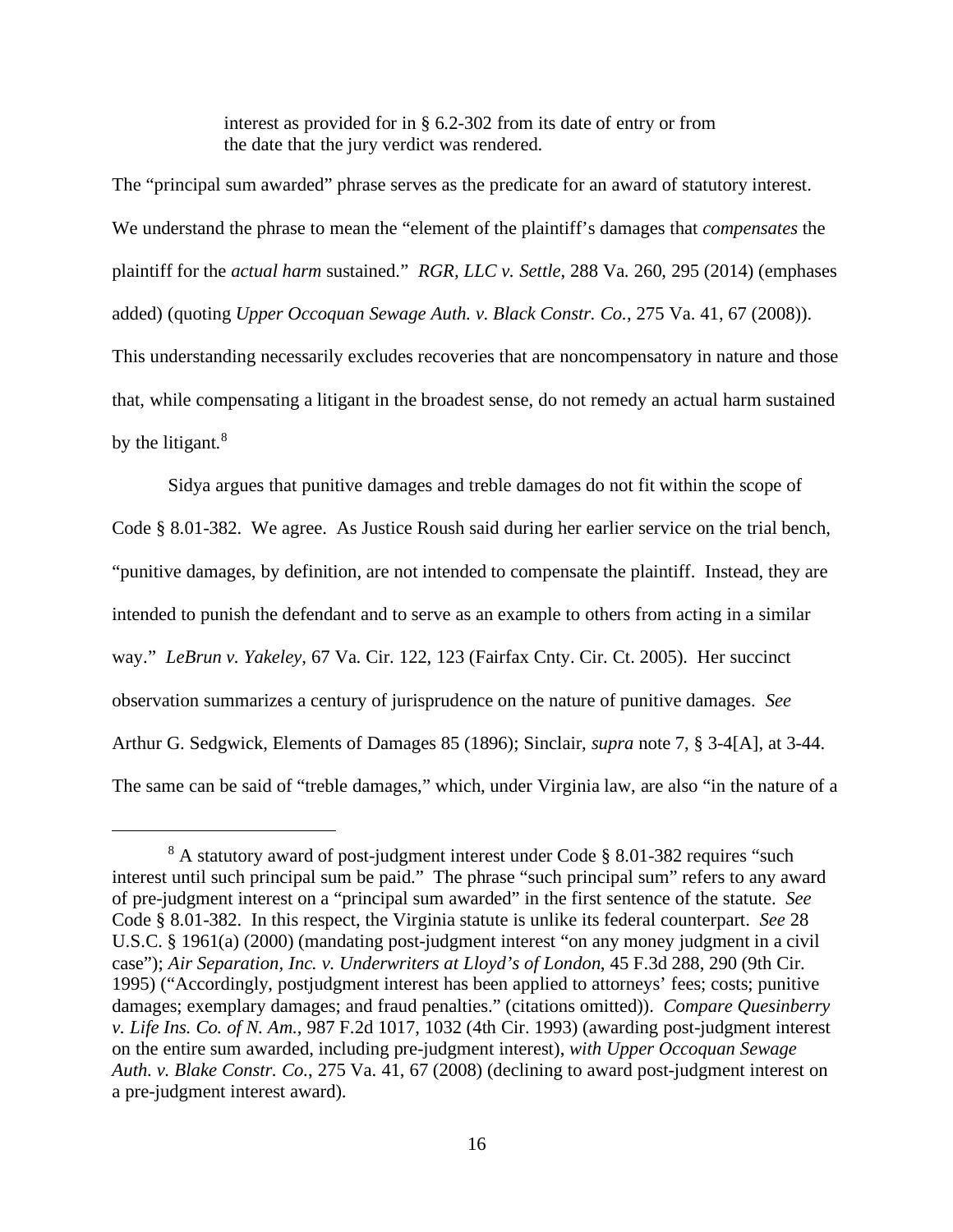interest as provided for in § 6.2-302 from its date of entry or from the date that the jury verdict was rendered.

The "principal sum awarded" phrase serves as the predicate for an award of statutory interest. We understand the phrase to mean the "element of the plaintiff's damages that *compensates* the plaintiff for the *actual harm* sustained." *RGR, LLC v. Settle*, 288 Va. 260, 295 (2014) (emphases added) (quoting *Upper Occoquan Sewage Auth. v. Black Constr. Co.*, 275 Va. 41, 67 (2008)). This understanding necessarily excludes recoveries that are noncompensatory in nature and those that, while compensating a litigant in the broadest sense, do not remedy an actual harm sustained by the litigant. $8$ 

Sidya argues that punitive damages and treble damages do not fit within the scope of Code § 8.01-382. We agree. As Justice Roush said during her earlier service on the trial bench, "punitive damages, by definition, are not intended to compensate the plaintiff. Instead, they are intended to punish the defendant and to serve as an example to others from acting in a similar way." *LeBrun v. Yakeley*, 67 Va. Cir. 122, 123 (Fairfax Cnty. Cir. Ct. 2005). Her succinct observation summarizes a century of jurisprudence on the nature of punitive damages. *See* Arthur G. Sedgwick, Elements of Damages 85 (1896); Sinclair, *supra* note 7, § 3-4[A], at 3-44. The same can be said of "treble damages," which, under Virginia law, are also "in the nature of a

<span id="page-15-0"></span><sup>&</sup>lt;sup>8</sup> A statutory award of post-judgment interest under Code § 8.01-382 requires "such interest until such principal sum be paid." The phrase "such principal sum" refers to any award of pre-judgment interest on a "principal sum awarded" in the first sentence of the statute. *See* Code § 8.01-382. In this respect, the Virginia statute is unlike its federal counterpart. *See* 28 U.S.C. § 1961(a) (2000) (mandating post-judgment interest "on any money judgment in a civil case"); *Air Separation, Inc. v. Underwriters at Lloyd's of London*, 45 F.3d 288, 290 (9th Cir. 1995) ("Accordingly, postjudgment interest has been applied to attorneys' fees; costs; punitive damages; exemplary damages; and fraud penalties." (citations omitted)). *Compare Quesinberry v. Life Ins. Co. of N. Am.*, 987 F.2d 1017, 1032 (4th Cir. 1993) (awarding post-judgment interest on the entire sum awarded, including pre-judgment interest), *with Upper Occoquan Sewage Auth. v. Blake Constr. Co.*, 275 Va. 41, 67 (2008) (declining to award post-judgment interest on a pre-judgment interest award).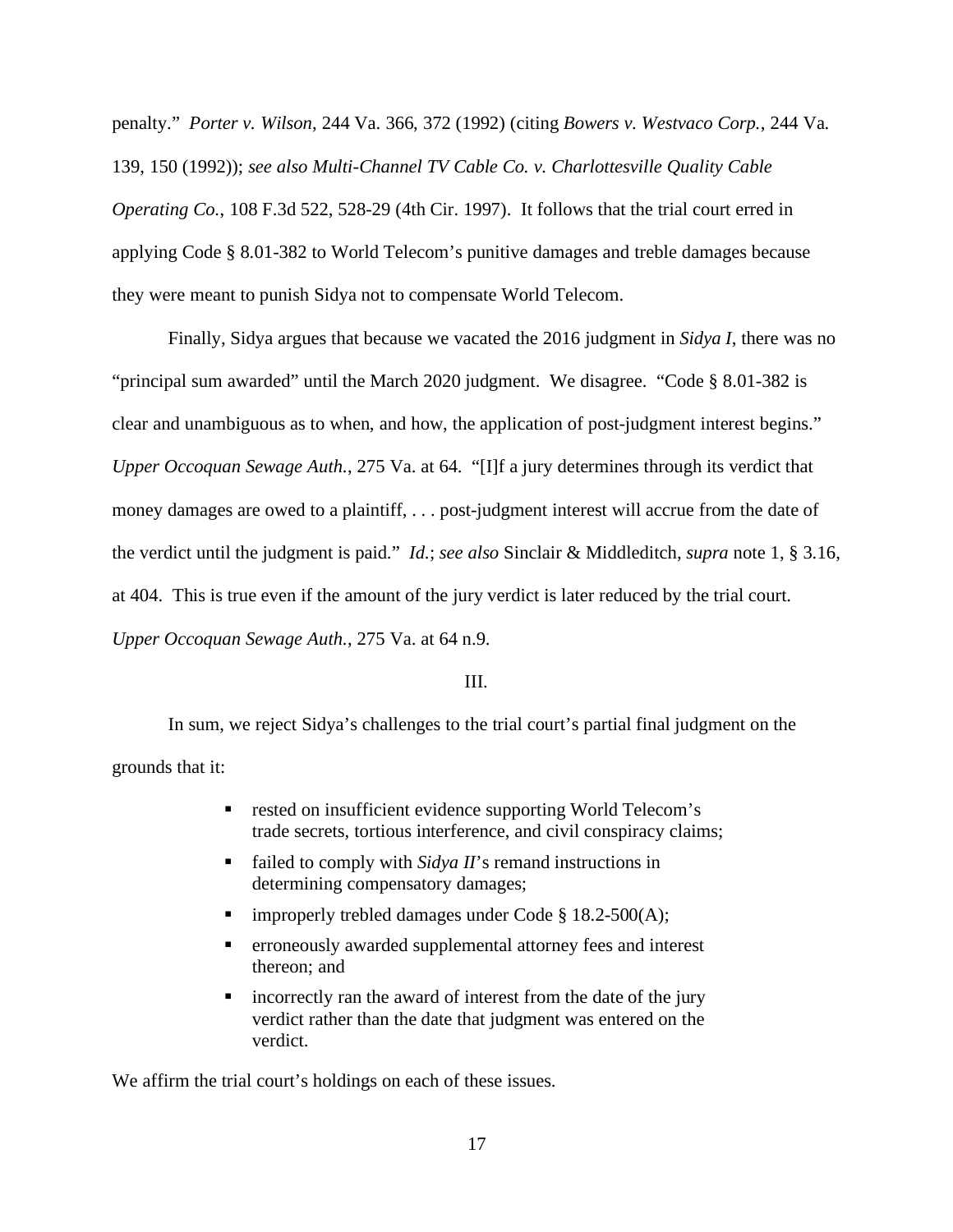penalty." *Porter v. Wilson*, 244 Va. 366, 372 (1992) (citing *Bowers v. Westvaco Corp.*, 244 Va. 139, 150 (1992)); *see also Multi-Channel TV Cable Co. v. Charlottesville Quality Cable Operating Co.*, 108 F.3d 522, 528-29 (4th Cir. 1997). It follows that the trial court erred in applying Code § 8.01-382 to World Telecom's punitive damages and treble damages because they were meant to punish Sidya not to compensate World Telecom.

Finally, Sidya argues that because we vacated the 2016 judgment in *Sidya I*, there was no "principal sum awarded" until the March 2020 judgment. We disagree. "Code § 8.01-382 is clear and unambiguous as to when, and how, the application of post-judgment interest begins." *Upper Occoquan Sewage Auth.*, 275 Va. at 64. "[I]f a jury determines through its verdict that money damages are owed to a plaintiff, . . . post-judgment interest will accrue from the date of the verdict until the judgment is paid." *Id.*; *see also* Sinclair & Middleditch, *supra* note 1, § 3.16, at 404. This is true even if the amount of the jury verdict is later reduced by the trial court. *Upper Occoquan Sewage Auth.*, 275 Va. at 64 n.9.

## III.

In sum, we reject Sidya's challenges to the trial court's partial final judgment on the grounds that it:

- rested on insufficient evidence supporting World Telecom's trade secrets, tortious interference, and civil conspiracy claims;
- failed to comply with *Sidya II*'s remand instructions in determining compensatory damages;
- **improperly trebled damages under Code § 18.2-500(A);**
- erroneously awarded supplemental attorney fees and interest thereon; and
- **Example 1** incorrectly ran the award of interest from the date of the jury verdict rather than the date that judgment was entered on the verdict.

We affirm the trial court's holdings on each of these issues.